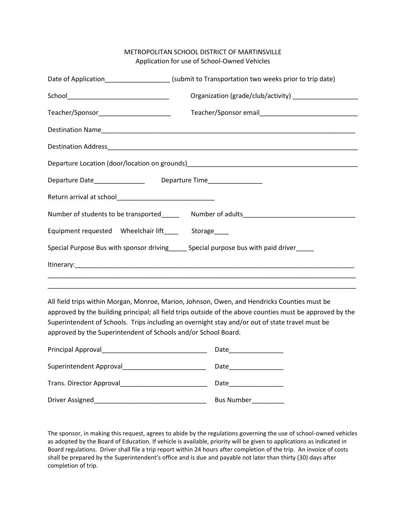## METROPOLITAN SCHOOL DISTRICT OF MARTINSVILLE Application for use of School-Owned Vehicles

|                                          | Date of Application_______________________(submit to Transportation two weeks prior to trip date) |
|------------------------------------------|---------------------------------------------------------------------------------------------------|
|                                          |                                                                                                   |
| Teacher/Sponsor_________________________ |                                                                                                   |
|                                          |                                                                                                   |
|                                          |                                                                                                   |
|                                          |                                                                                                   |
|                                          |                                                                                                   |
|                                          |                                                                                                   |
|                                          |                                                                                                   |
|                                          |                                                                                                   |
|                                          | Special Purpose Bus with sponsor driving_____ Special purpose bus with paid driver____            |
|                                          |                                                                                                   |
|                                          |                                                                                                   |

All field trips within Morgan, Monroe, Marion, Johnson, Owen, and Hendricks Counties must be approved by the building principal; all field trips outside of the above counties must be approved by the Superintendent of Schools. Trips including an overnight stay and/or out of state travel must be approved by the Superintendent of Schools and/or School Board.

| Principal Approval       | Date              |
|--------------------------|-------------------|
| Superintendent Approval  | Date              |
| Trans. Director Approval | Date              |
| Driver Assigned          | <b>Bus Number</b> |

The sponsor, in making this request, agrees to abide by the regulations governing the use of school-owned vehicles as adopted by the Board of Education. If vehicle is available, priority will be given to applications as indicated in Board regulations. Driver shall file a trip report within 24 hours after completion of the trip. An invoice of costs shall be prepared by the Superintendent's office and is due and payable not later than thirty (30) days after completion of trip.